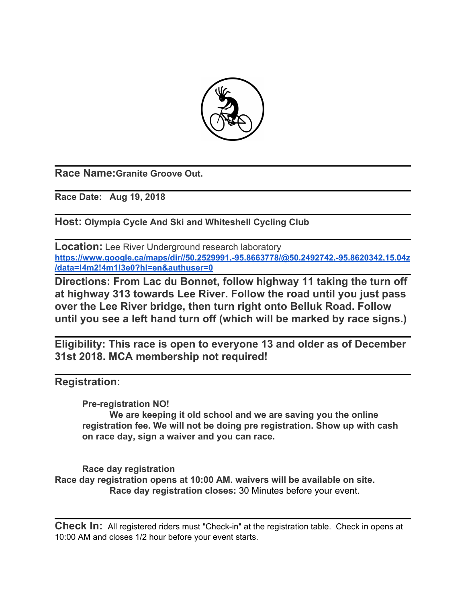

**Race Name:Granite Groove Out.**

**Race Date: Aug 19, 2018**

**Host: Olympia Cycle And Ski and Whiteshell Cycling Club**

**Location:** Lee River Underground research laboratory **[https://www.google.ca/maps/dir//50.2529991,-95.8663778/@50.2492742,-95.8620342,15.04z](https://www.google.ca/maps/dir//50.2529991,-95.8663778/@50.2492742,-95.8620342,15.04z/data=!4m2!4m1!3e0?hl=en&authuser=0) [/data=!4m2!4m1!3e0?hl=en&authuser=0](https://www.google.ca/maps/dir//50.2529991,-95.8663778/@50.2492742,-95.8620342,15.04z/data=!4m2!4m1!3e0?hl=en&authuser=0)**

**Directions: From Lac du Bonnet, follow highway 11 taking the turn off at highway 313 towards Lee River. Follow the road until you just pass over the Lee River bridge, then turn right onto Belluk Road. Follow until you see a left hand turn off (which will be marked by race signs.)**

**Eligibility: This race is open to everyone 13 and older as of December 31st 2018. MCA membership not required!**

**Registration:**

**Pre-registration NO! We are keeping it old school and we are saving you the online registration fee. We will not be doing pre registration. Show up with cash on race day, sign a waiver and you can race.**

**Race day registration Race day registration opens at 10:00 AM. waivers will be available on site. Race day registration closes:** 30 Minutes before your event.

**Check In:** All registered riders must "Check-in" at the registration table. Check in opens at 10:00 AM and closes 1/2 hour before your event starts.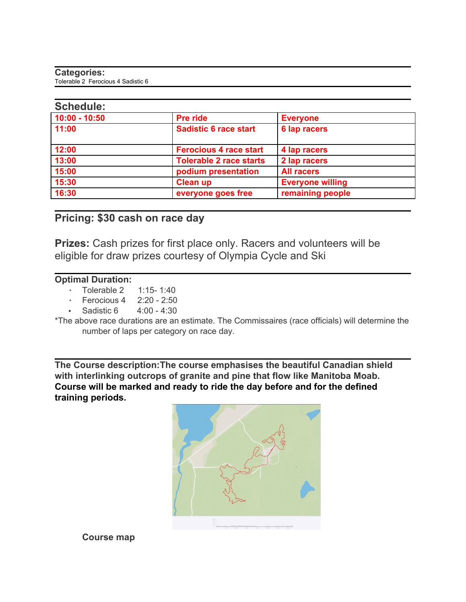#### **Categories:** Tolerable 2 Ferocious 4 Sadistic 6

| <b>JUILCUULE.</b> |                                |                         |
|-------------------|--------------------------------|-------------------------|
| $10:00 - 10:50$   | Pre ride                       | <b>Everyone</b>         |
| 11:00             | <b>Sadistic 6 race start</b>   | 6 lap racers            |
| 12:00             | <b>Ferocious 4 race start</b>  | 4 lap racers            |
| 13:00             | <b>Tolerable 2 race starts</b> | 2 lap racers            |
| 15:00             | podium presentation            | <b>All racers</b>       |
| 15:30             | <b>Clean up</b>                | <b>Everyone willing</b> |
| 16:30             | everyone goes free             | remaining people        |
|                   |                                |                         |

# **Pricing: \$30 cash on race day**

**Prizes:** Cash prizes for first place only. Racers and volunteers will be eligible for draw prizes courtesy of Olympia Cycle and Ski

## **Optimal Duration:**

- Tolerable 2 1:15-1:40
- Ferocious 4 2:20 2:50
- Sadistic 6 4:00 4:30

\*The above race durations are an estimate. The Commissaires (race officials) will determine the number of laps per category on race day.

**The Course description:The course emphasises the beautiful Canadian shield with interlinking outcrops of granite and pine that flow like Manitoba Moab. Course will be marked and ready to ride the day before and for the defined training periods.**



**Course map**